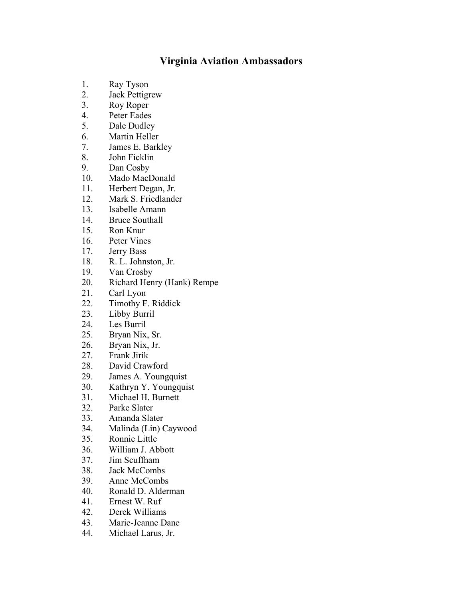## **Virginia Aviation Ambassadors**

- 1. Ray Tyson
- 2. Jack Pettigrew
- 3. Roy Roper
- 4. Peter Eades
- 5. Dale Dudley
- 6. Martin Heller
- 7. James E. Barkley
- 8. John Ficklin
- 9. Dan Cosby
- 10. Mado MacDonald
- 11. Herbert Degan, Jr.
- 12. Mark S. Friedlander
- 13. Isabelle Amann
- 14. Bruce Southall
- 15. Ron Knur
- 16. Peter Vines
- 17. Jerry Bass
- 18. R. L. Johnston, Jr.
- 19. Van Crosby
- 20. Richard Henry (Hank) Rempe
- 21. Carl Lyon
- 22. Timothy F. Riddick
- 23. Libby Burril
- 24. Les Burril
- 25. Bryan Nix, Sr.
- 26. Bryan Nix, Jr.<br>27. Frank Jirik
- 27. Frank Jirik
- 28. David Crawford
- 29. James A. Youngquist
- 30. Kathryn Y. Youngquist
- 31. Michael H. Burnett
- 32. Parke Slater
- 33. Amanda Slater
- 34. Malinda (Lin) Caywood
- 35. Ronnie Little
- 36. William J. Abbott
- 37. Jim Scuffham
- 38. Jack McCombs
- 39. Anne McCombs
- 40. Ronald D. Alderman
- 41. Ernest W. Ruf
- 42. Derek Williams
- 43. Marie-Jeanne Dane
- 44. Michael Larus, Jr.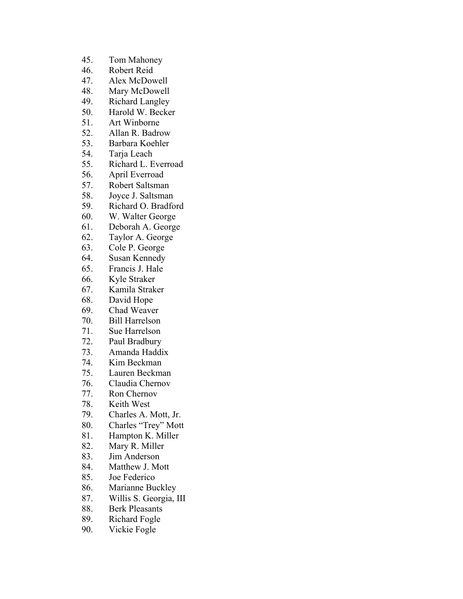- 45. Tom Mahoney
- 46. Robert Reid
- 47. Alex McDowell
- 48. Mary McDowell
- 49. Richard Langley
- 50. Harold W. Becker
- 51. Art Winborne
- 52. Allan R. Badrow
- 53. Barbara Koehler
- 54. Tarja Leach
- 55. Richard L. Everroad
- 56. April Everroad
- 57. Robert Saltsman
- 58. Joyce J. Saltsman
- 59. Richard O. Bradford
- 60. W. Walter George
- 61. Deborah A. George
- 62. Taylor A. George
- 63. Cole P. George
- 64. Susan Kennedy
- 65. Francis J. Hale
- 66. Kyle Straker
- 67. Kamila Straker
- 68. David Hope
- 69. Chad Weaver
- 70. Bill Harrelson
- 71. Sue Harrelson
- 72. Paul Bradbury
- 73. Amanda Haddix
- 74. Kim Beckman
- 75. Lauren Beckman
- 76. Claudia Chernov
- 77. Ron Chernov
- 78. Keith West
- 79. Charles A. Mott, Jr.
- 80. Charles "Trey" Mott
- 81. Hampton K. Miller
- 82. Mary R. Miller
- 83. Jim Anderson
- 84. Matthew J. Mott
- 85. Joe Federico
- 86. Marianne Buckley
- 87. Willis S. Georgia, III
- 88. Berk Pleasants
- 89. Richard Fogle
- 90. Vickie Fogle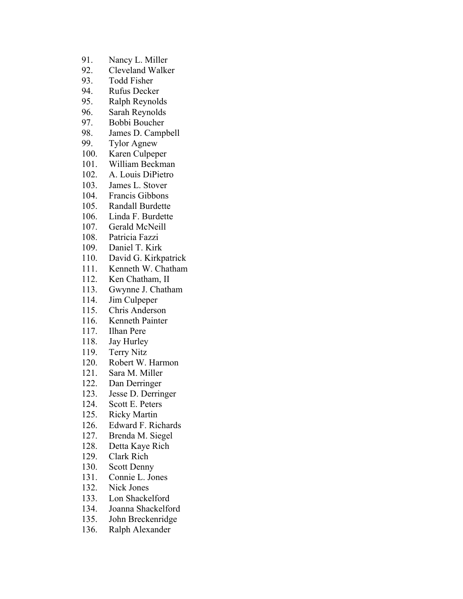- 91. Nancy L. Miller
- 92. Cleveland Walker
- 93. Todd Fisher
- 94. Rufus Decker
- 95. Ralph Reynolds
- 96. Sarah Reynolds
- 97. Bobbi Boucher
- 98. James D. Campbell
- 99. Tylor Agnew
- 100. Karen Culpeper
- 101. William Beckman
- 102. A. Louis DiPietro
- 103. James L. Stover
- 104. Francis Gibbons
- 105. Randall Burdette
- 106. Linda F. Burdette
- 107. Gerald McNeill
- 108. Patricia Fazzi
- 109. Daniel T. Kirk
- 110. David G. Kirkpatrick
- 111. Kenneth W. Chatham
- 112. Ken Chatham, II
- 113. Gwynne J. Chatham
- 114. Jim Culpeper
- 115. Chris Anderson
- 116. Kenneth Painter
- 117. Ilhan Pere
- 118. Jay Hurley
- 119. Terry Nitz
- 120. Robert W. Harmon
- 121. Sara M. Miller
- 122. Dan Derringer
- 123. Jesse D. Derringer
- 124. Scott E. Peters
- 125. Ricky Martin
- 126. Edward F. Richards
- 127. Brenda M. Siegel
- 128. Detta Kaye Rich
- 129. Clark Rich
- 130. Scott Denny
- 131. Connie L. Jones
- 132. Nick Jones
- 133. Lon Shackelford
- 134. Joanna Shackelford
- 135. John Breckenridge
- 136. Ralph Alexander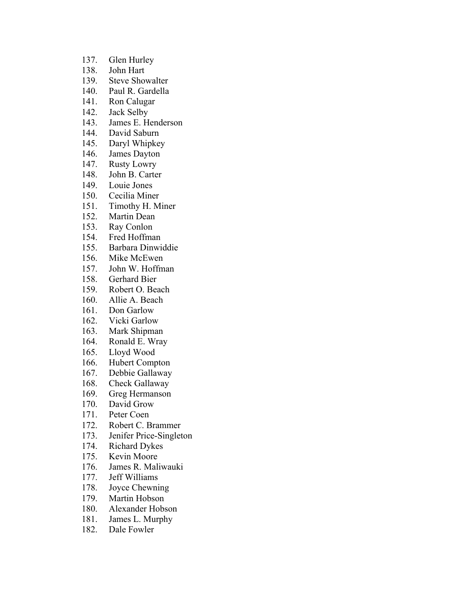- 137. Glen Hurley
- 138. John Hart
- 139. Steve Showalter
- 140. Paul R. Gardella
- 141. Ron Calugar
- 142. Jack Selby
- 143. James E. Henderson
- 144. David Saburn
- 145. Daryl Whipkey
- 146. James Dayton
- 147. Rusty Lowry
- 148. John B. Carter
- 149. Louie Jones
- 150. Cecilia Miner
- 151. Timothy H. Miner
- 152. Martin Dean
- 153. Ray Conlon
- 154. Fred Hoffman
- 155. Barbara Dinwiddie
- 156. Mike McEwen
- 157. John W. Hoffman
- 158. Gerhard Bier
- 159. Robert O. Beach
- 160. Allie A. Beach
- 161. Don Garlow
- 162. Vicki Garlow
- 163. Mark Shipman
- 164. Ronald E. Wray
- 165. Lloyd Wood
- 166. Hubert Compton
- 167. Debbie Gallaway
- 168. Check Gallaway
- 169. Greg Hermanson
- 170. David Grow
- 171. Peter Coen
- 172. Robert C. Brammer
- 173. Jenifer Price-Singleton
- 174. Richard Dykes
- 175. Kevin Moore
- 176. James R. Maliwauki
- 177. Jeff Williams
- 178. Joyce Chewning
- 179. Martin Hobson
- 180. Alexander Hobson
- 181. James L. Murphy
- 182. Dale Fowler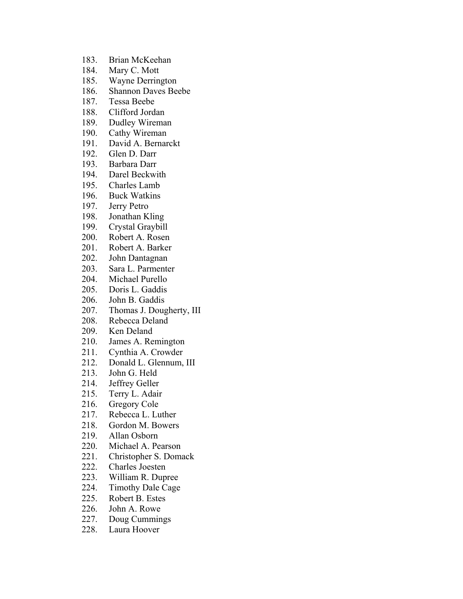- 183. Brian McKeehan
- 184. Mary C. Mott
- 185. Wayne Derrington
- 186. Shannon Daves Beebe
- 187. Tessa Beebe
- 188. Clifford Jordan
- 189. Dudley Wireman
- 190. Cathy Wireman
- 191. David A. Bernarckt
- 192. Glen D. Darr
- 193. Barbara Darr
- 194. Darel Beckwith
- 195. Charles Lamb
- 196. Buck Watkins
- 197. Jerry Petro
- 198. Jonathan Kling
- 199. Crystal Graybill
- 200. Robert A. Rosen
- 201. Robert A. Barker
- 202. John Dantagnan
- 203. Sara L. Parmenter
- 204. Michael Purello
- 205. Doris L. Gaddis
- 206. John B. Gaddis
- 207. Thomas J. Dougherty, III
- 208. Rebecca Deland
- 209. Ken Deland
- 210. James A. Remington
- 211. Cynthia A. Crowder
- 212. Donald L. Glennum, III
- 213. John G. Held
- 214. Jeffrey Geller
- 215. Terry L. Adair
- 216. Gregory Cole
- 217. Rebecca L. Luther
- 218. Gordon M. Bowers
- 219. Allan Osborn
- 220. Michael A. Pearson
- 221. Christopher S. Domack
- 222. Charles Joesten
- 223. William R. Dupree
- 224. Timothy Dale Cage
- 225. Robert B. Estes
- 226. John A. Rowe
- 227. Doug Cummings
- 228. Laura Hoover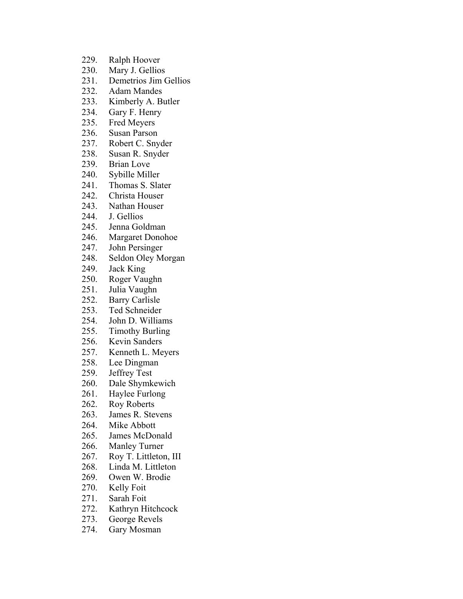- 229. Ralph Hoover
- 230. Mary J. Gellios
- 231. Demetrios Jim Gellios
- 232. Adam Mandes
- 233. Kimberly A. Butler
- 234. Gary F. Henry
- 235. Fred Meyers
- 236. Susan Parson
- 237. Robert C. Snyder
- 238. Susan R. Snyder
- 239. Brian Love
- 240. Sybille Miller
- 241. Thomas S. Slater
- 242. Christa Houser
- 243. Nathan Houser
- 244. J. Gellios
- 245. Jenna Goldman
- 246. Margaret Donohoe
- 247. John Persinger
- 248. Seldon Oley Morgan
- 249. Jack King
- 250. Roger Vaughn
- 251. Julia Vaughn
- 252. Barry Carlisle
- 253. Ted Schneider
- 254. John D. Williams
- 255. Timothy Burling
- 256. Kevin Sanders
- 257. Kenneth L. Meyers
- 258. Lee Dingman
- 259. Jeffrey Test
- 260. Dale Shymkewich
- 261. Haylee Furlong
- 262. Roy Roberts
- 263. James R. Stevens
- 264. Mike Abbott
- 265. James McDonald
- 266. Manley Turner
- 267. Roy T. Littleton, III
- 268. Linda M. Littleton
- 269. Owen W. Brodie
- 270. Kelly Foit
- 271. Sarah Foit
- 272. Kathryn Hitchcock
- 273. George Revels
- 274. Gary Mosman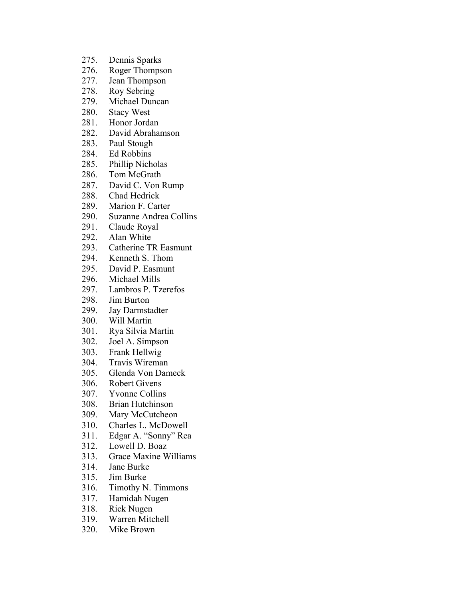- 275. Dennis Sparks
- 276. Roger Thompson
- 277. Jean Thompson
- 278. Roy Sebring
- 279. Michael Duncan
- 280. Stacy West
- 281. Honor Jordan
- 282. David Abrahamson
- 283. Paul Stough
- 284. Ed Robbins
- 285. Phillip Nicholas
- 286. Tom McGrath
- 287. David C. Von Rump
- 288. Chad Hedrick
- 289. Marion F. Carter
- 290. Suzanne Andrea Collins
- 291. Claude Royal
- 292. Alan White
- 293. Catherine TR Easmunt
- 294. Kenneth S. Thom
- 295. David P. Easmunt
- 296. Michael Mills
- 297. Lambros P. Tzerefos
- 298. Jim Burton
- 299. Jay Darmstadter
- 300. Will Martin
- 301. Rya Silvia Martin
- 302. Joel A. Simpson
- 303. Frank Hellwig
- 304. Travis Wireman
- 305. Glenda Von Dameck
- 306. Robert Givens
- 307. Yvonne Collins
- 308. Brian Hutchinson
- 309. Mary McCutcheon
- 310. Charles L. McDowell
- 311. Edgar A. "Sonny" Rea
- 312. Lowell D. Boaz
- 313. Grace Maxine Williams
- 314. Jane Burke
- 315. Jim Burke
- 316. Timothy N. Timmons
- 317. Hamidah Nugen
- 318. Rick Nugen
- 319. Warren Mitchell
- 320. Mike Brown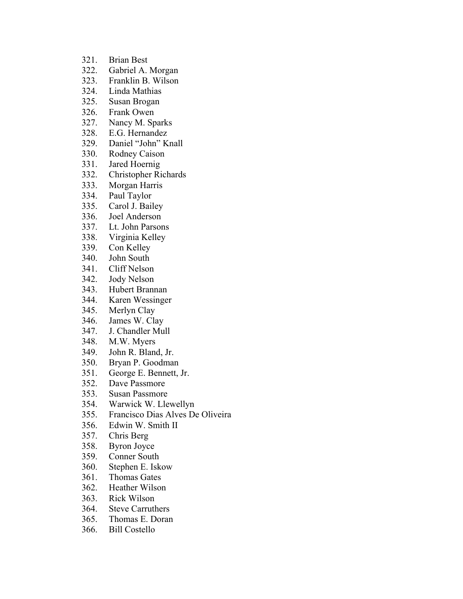- 321. Brian Best
- 322. Gabriel A. Morgan
- 323. Franklin B. Wilson
- 324. Linda Mathias
- 325. Susan Brogan
- 326. Frank Owen
- 327. Nancy M. Sparks
- 328. E.G. Hernandez
- 329. Daniel "John" Knall
- 330. Rodney Caison
- 331. Jared Hoernig
- 332. Christopher Richards
- 333. Morgan Harris
- 334. Paul Taylor
- 335. Carol J. Bailey
- 336. Joel Anderson
- 337. Lt. John Parsons
- 338. Virginia Kelley
- 339. Con Kelley
- 340. John South
- 341. Cliff Nelson
- 342. Jody Nelson
- 343. Hubert Brannan
- 344. Karen Wessinger
- 345. Merlyn Clay
- 346. James W. Clay
- 347. J. Chandler Mull
- 348. M.W. Myers
- 349. John R. Bland, Jr.
- 350. Bryan P. Goodman
- 351. George E. Bennett, Jr.
- 352. Dave Passmore
- 353. Susan Passmore
- 354. Warwick W. Llewellyn
- 355. Francisco Dias Alves De Oliveira
- 356. Edwin W. Smith II
- 357. Chris Berg
- 358. Byron Joyce
- 359. Conner South
- 360. Stephen E. Iskow
- 361. Thomas Gates
- 362. Heather Wilson
- 363. Rick Wilson
- 364. Steve Carruthers
- 365. Thomas E. Doran
- 366. Bill Costello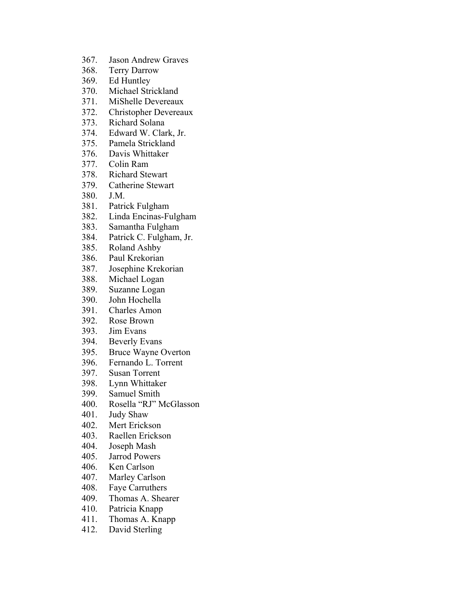- 367. Jason Andrew Graves
- 368. Terry Darrow
- 369. Ed Huntley
- 370. Michael Strickland
- 371. MiShelle Devereaux
- 372. Christopher Devereaux
- 373. Richard Solana
- 374. Edward W. Clark, Jr.
- 375. Pamela Strickland
- 376. Davis Whittaker
- 377. Colin Ram
- 378. Richard Stewart
- 379. Catherine Stewart
- 380. J.M.
- 381. Patrick Fulgham
- 382. Linda Encinas-Fulgham
- 383. Samantha Fulgham
- 384. Patrick C. Fulgham, Jr.
- 385. Roland Ashby
- 386. Paul Krekorian
- 387. Josephine Krekorian
- 388. Michael Logan
- 389. Suzanne Logan
- 390. John Hochella
- 391. Charles Amon
- 392. Rose Brown
- 393. Jim Evans
- 394. Beverly Evans
- 395. Bruce Wayne Overton
- 396. Fernando L. Torrent
- 397. Susan Torrent
- 398. Lynn Whittaker
- 399. Samuel Smith
- 400. Rosella "RJ" McGlasson
- 401. Judy Shaw
- 402. Mert Erickson
- 403. Raellen Erickson
- 404. Joseph Mash
- 405. Jarrod Powers
- 406. Ken Carlson
- 407. Marley Carlson
- 408. Faye Carruthers
- 409. Thomas A. Shearer
- 410. Patricia Knapp
- 411. Thomas A. Knapp
- 412. David Sterling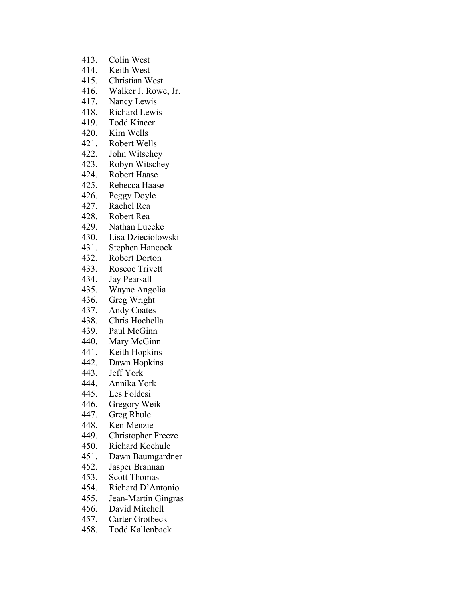- 413. Colin West
- 414. Keith West
- 415. Christian West
- 416. Walker J. Rowe, Jr.
- 417. Nancy Lewis
- 418. Richard Lewis
- 419. Todd Kincer
- 420. Kim Wells
- 421. Robert Wells
- 422. John Witschey
- 423. Robyn Witschey
- 424. Robert Haase
- 425. Rebecca Haase
- 426. Peggy Doyle
- 427. Rachel Rea
- 428. Robert Rea
- 429. Nathan Luecke
- 430. Lisa Dzieciolowski
- 431. Stephen Hancock
- 432. Robert Dorton
- 433. Roscoe Trivett
- 434. Jay Pearsall
- 435. Wayne Angolia
- 436. Greg Wright
- 437. Andy Coates
- 438. Chris Hochella
- 439. Paul McGinn
- 440. Mary McGinn
- 441. Keith Hopkins
- 442. Dawn Hopkins
- 443. Jeff York
- 444. Annika York
- 445. Les Foldesi
- 446. Gregory Weik
- 447. Greg Rhule
- 448. Ken Menzie
- 449. Christopher Freeze
- 450. Richard Koehule
- 451. Dawn Baumgardner
- 452. Jasper Brannan
- 453. Scott Thomas
- 454. Richard D'Antonio
- 455. Jean-Martin Gingras
- 456. David Mitchell
- 457. Carter Grotbeck
- 458. Todd Kallenback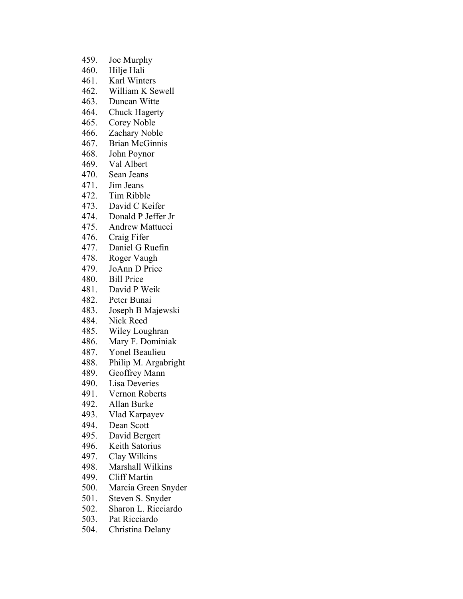- 459. Joe Murphy
- 460. Hilje Hali
- 461. Karl Winters
- 462. William K Sewell
- 463. Duncan Witte
- 464. Chuck Hagerty
- 465. Corey Noble
- 466. Zachary Noble
- 467. Brian McGinnis
- 468. John Poynor
- 469. Val Albert
- 470. Sean Jeans
- 471. Jim Jeans
- 472. Tim Ribble
- 473. David C Keifer
- 474. Donald P Jeffer Jr
- 475. Andrew Mattucci
- 476. Craig Fifer
- 477. Daniel G Ruefin
- 478. Roger Vaugh
- 479. JoAnn D Price
- 480. Bill Price
- 481. David P Weik
- 482. Peter Bunai
- 483. Joseph B Majewski
- 484. Nick Reed
- 485. Wiley Loughran
- 486. Mary F. Dominiak
- 487. Yonel Beaulieu
- 488. Philip M. Argabright
- 489. Geoffrey Mann
- 490. Lisa Deveries
- 491. Vernon Roberts
- 492. Allan Burke
- 493. Vlad Karpayev
- 494. Dean Scott
- 495. David Bergert
- 496. Keith Satorius
- 497. Clay Wilkins
- 498. Marshall Wilkins
- 499. Cliff Martin
- 500. Marcia Green Snyder
- 501. Steven S. Snyder
- 502. Sharon L. Ricciardo
- 503. Pat Ricciardo
- 504. Christina Delany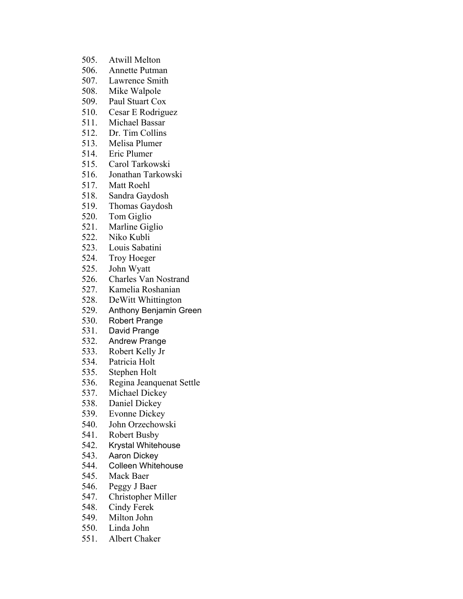- 505. Atwill Melton
- 506. Annette Putman
- 507. Lawrence Smith
- 508. Mike Walpole
- 509. Paul Stuart Cox
- 510. Cesar E Rodriguez
- 511. Michael Bassar
- 512. Dr. Tim Collins
- 513. Melisa Plumer
- 514. Eric Plumer
- 515. Carol Tarkowski
- 516. Jonathan Tarkowski
- 517. Matt Roehl
- 518. Sandra Gaydosh
- 519. Thomas Gaydosh
- 520. Tom Giglio
- 521. Marline Giglio
- 522. Niko Kubli
- 523. Louis Sabatini
- 524. Troy Hoeger
- 525. John Wyatt
- 526. Charles Van Nostrand
- 527. Kamelia Roshanian
- 528. DeWitt Whittington
- 529. Anthony Benjamin Green
- 530. Robert Prange
- 531. David Prange
- 532. Andrew Prange
- 533. Robert Kelly Jr
- 534. Patricia Holt
- 535. Stephen Holt
- 536. Regina Jeanquenat Settle
- 537. Michael Dickey
- 538. Daniel Dickey
- 539. Evonne Dickey
- 540. John Orzechowski
- 541. Robert Busby
- 542. Krystal Whitehouse
- 543. Aaron Dickey
- 544. Colleen Whitehouse
- 545. Mack Baer
- 546. Peggy J Baer
- 547. Christopher Miller
- 548. Cindy Ferek
- 549. Milton John
- 550. Linda John
- 551. Albert Chaker